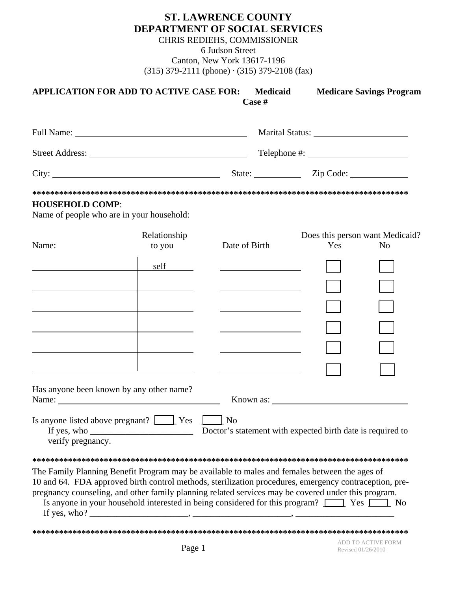## **ST. LAWRENCE COUNTY** DEPARTMENT OF SOCIAL SERVICES

CHRIS REDIEHS, COMMISSIONER

6 Judson Street

Canton, New York 13617-1196  $(315)$  379-2111 (phone)  $\cdot$  (315) 379-2108 (fax)

|                        | <b>APPLICATION FOR ADD TO ACTIVE CASE FOR:</b>                                                                                                                                                                                                                                                                             | <b>Medicaid</b><br>Case #                                                                                                                                                                                                                             | <b>Medicare Savings Program</b>                                                                                                                                                                                                                                                                                 |
|------------------------|----------------------------------------------------------------------------------------------------------------------------------------------------------------------------------------------------------------------------------------------------------------------------------------------------------------------------|-------------------------------------------------------------------------------------------------------------------------------------------------------------------------------------------------------------------------------------------------------|-----------------------------------------------------------------------------------------------------------------------------------------------------------------------------------------------------------------------------------------------------------------------------------------------------------------|
|                        |                                                                                                                                                                                                                                                                                                                            |                                                                                                                                                                                                                                                       |                                                                                                                                                                                                                                                                                                                 |
|                        |                                                                                                                                                                                                                                                                                                                            |                                                                                                                                                                                                                                                       |                                                                                                                                                                                                                                                                                                                 |
|                        |                                                                                                                                                                                                                                                                                                                            |                                                                                                                                                                                                                                                       | State: <u>Zip Code:</u>                                                                                                                                                                                                                                                                                         |
| <b>HOUSEHOLD COMP:</b> | Name of people who are in your household:                                                                                                                                                                                                                                                                                  |                                                                                                                                                                                                                                                       |                                                                                                                                                                                                                                                                                                                 |
| Name:                  | Relationship<br>to you<br>self<br><u>and the community of the community of the community of the community of the community of the community of the community of the community of the community of the community of the community of the community of the community</u><br>and the control of the control of the control of | Date of Birth<br><u>and the company of the company of the company of the company of the company of the company of the company of the company of the company of the company of the company of the company of the company of the company of the com</u> | Does this person want Medicaid?<br>Yes<br>N <sub>0</sub>                                                                                                                                                                                                                                                        |
|                        | Has anyone been known by any other name?                                                                                                                                                                                                                                                                                   |                                                                                                                                                                                                                                                       | Known as:                                                                                                                                                                                                                                                                                                       |
| verify pregnancy.      | Is anyone listed above pregnant? Ves Ves No                                                                                                                                                                                                                                                                                |                                                                                                                                                                                                                                                       |                                                                                                                                                                                                                                                                                                                 |
|                        | The Family Planning Benefit Program may be available to males and females between the ages of                                                                                                                                                                                                                              |                                                                                                                                                                                                                                                       | 10 and 64. FDA approved birth control methods, sterilization procedures, emergency contraception, pre-<br>pregnancy counseling, and other family planning related services may be covered under this program.<br>Is anyone in your household interested in being considered for this program? The Yes Theory No |
|                        |                                                                                                                                                                                                                                                                                                                            |                                                                                                                                                                                                                                                       |                                                                                                                                                                                                                                                                                                                 |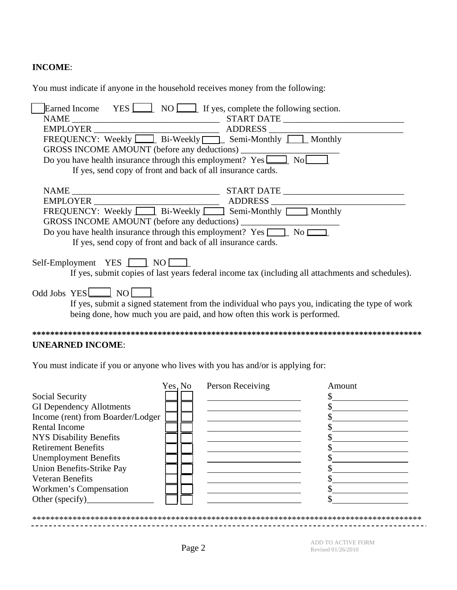## **INCOME**:

You must indicate if anyone in the household receives money from the following:

| Earned Income YES $\boxed{\phantom{1}}$ NO $\boxed{\phantom{1}}$ If yes, complete the following section. |
|----------------------------------------------------------------------------------------------------------|
|                                                                                                          |
|                                                                                                          |
|                                                                                                          |
|                                                                                                          |
| Do you have health insurance through this employment? $Yes$ $\boxed{\qquad}$ No                          |
| If yes, send copy of front and back of all insurance cards.                                              |
|                                                                                                          |
|                                                                                                          |
|                                                                                                          |
|                                                                                                          |
|                                                                                                          |
| Do you have health insurance through this employment? Yes $\boxed{\phantom{1}}$ No $\boxed{\phantom{1}}$ |
| If yes, send copy of front and back of all insurance cards.                                              |
|                                                                                                          |
| Self-Employment YES <u>NOME</u>                                                                          |
| If yes, submit copies of last years federal income tax (including all attachments and schedules).        |
|                                                                                                          |
| Odd Jobs $YES$ NO $\Box$                                                                                 |
| If yes, submit a signed statement from the individual who pays you, indicating the type of work          |
| being done, how much you are paid, and how often this work is performed.                                 |
|                                                                                                          |
| <b>UNEARNED INCOME:</b>                                                                                  |

You must indicate if you or anyone who lives with you has and/or is applying for:

|                                   | Yes, No | Person Receiving | Amount |
|-----------------------------------|---------|------------------|--------|
| Social Security                   |         |                  |        |
| <b>GI Dependency Allotments</b>   |         |                  |        |
| Income (rent) from Boarder/Lodger |         |                  |        |
| <b>Rental Income</b>              |         |                  |        |
| <b>NYS Disability Benefits</b>    |         |                  |        |
| <b>Retirement Benefits</b>        |         |                  |        |
| <b>Unemployment Benefits</b>      |         |                  |        |
| Union Benefits-Strike Pay         |         |                  |        |
| <b>Veteran Benefits</b>           |         |                  |        |
| Workmen's Compensation            |         |                  |        |
| Other (specify)                   |         |                  |        |
|                                   |         |                  |        |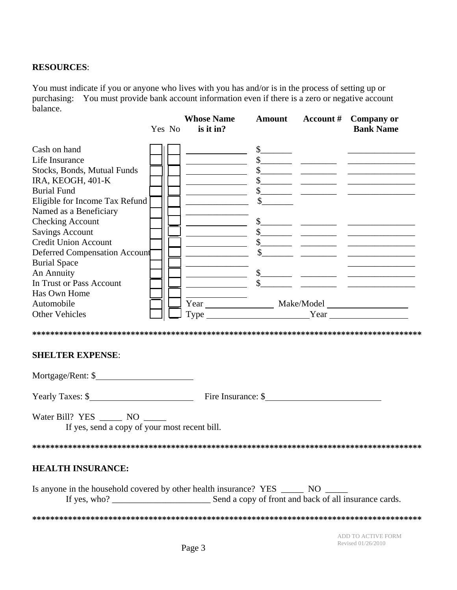## **RESOURCES**:

You must indicate if you or anyone who lives with you has and/or is in the process of setting up or purchasing: You must provide bank account information even if there is a zero or negative account balance.

|                                                                                      | Yes No | <b>Whose Name</b><br>is it in? |  | Amount Account # Company or<br><b>Bank Name</b>                                                                                                                                                                                                                                                                                                                                                                                        |
|--------------------------------------------------------------------------------------|--------|--------------------------------|--|----------------------------------------------------------------------------------------------------------------------------------------------------------------------------------------------------------------------------------------------------------------------------------------------------------------------------------------------------------------------------------------------------------------------------------------|
| Cash on hand                                                                         |        |                                |  |                                                                                                                                                                                                                                                                                                                                                                                                                                        |
| Life Insurance                                                                       |        |                                |  |                                                                                                                                                                                                                                                                                                                                                                                                                                        |
| Stocks, Bonds, Mutual Funds                                                          |        |                                |  |                                                                                                                                                                                                                                                                                                                                                                                                                                        |
| IRA, KEOGH, 401-K                                                                    |        |                                |  |                                                                                                                                                                                                                                                                                                                                                                                                                                        |
| <b>Burial Fund</b>                                                                   |        |                                |  | $\begin{array}{ccccccccccccc}\n\text{\bf 5} & \text{\bf \textbf{1} & \textbf{1} & \textbf{1} & \textbf{1} & \textbf{1} & \textbf{1} & \textbf{1} & \textbf{1} & \textbf{1} & \textbf{1} & \textbf{1} & \textbf{1} & \textbf{1} & \textbf{1} & \textbf{1} & \textbf{1} & \textbf{1} & \textbf{1} & \textbf{1} & \textbf{1} & \textbf{1} & \textbf{1} & \textbf{1} & \textbf{1} & \textbf{1} & \textbf{1} & \textbf{1} & \textbf{1} & \$ |
| Eligible for Income Tax Refund                                                       |        |                                |  |                                                                                                                                                                                                                                                                                                                                                                                                                                        |
| Named as a Beneficiary                                                               |        |                                |  |                                                                                                                                                                                                                                                                                                                                                                                                                                        |
| <b>Checking Account</b>                                                              |        |                                |  |                                                                                                                                                                                                                                                                                                                                                                                                                                        |
| <b>Savings Account</b>                                                               |        |                                |  |                                                                                                                                                                                                                                                                                                                                                                                                                                        |
| <b>Credit Union Account</b>                                                          |        |                                |  | $\frac{1}{\sqrt{1-\frac{1}{2}}\sqrt{1-\frac{1}{2}}\sqrt{1-\frac{1}{2}}\sqrt{1-\frac{1}{2}}\sqrt{1-\frac{1}{2}}\sqrt{1-\frac{1}{2}}\sqrt{1-\frac{1}{2}}\sqrt{1-\frac{1}{2}}\sqrt{1-\frac{1}{2}}\sqrt{1-\frac{1}{2}}\sqrt{1-\frac{1}{2}}\sqrt{1-\frac{1}{2}}\sqrt{1-\frac{1}{2}}\sqrt{1-\frac{1}{2}}\sqrt{1-\frac{1}{2}}\sqrt{1-\frac{1}{2}}\sqrt{1-\frac{1}{2}}\sqrt{1-\frac{1}{2}}\sqrt{1-\frac{1}{2}}\sqrt{1-\frac$                   |
| Deferred Compensation Account                                                        |        |                                |  | $s$ and $s$ and $s$ and $s$ and $s$ and $s$ and $s$ and $s$ and $s$ and $s$ and $s$ and $s$ and $s$ and $s$ and $s$ and $s$ and $s$ and $s$ and $s$ and $s$ and $s$ and $s$ and $s$ and $s$ and $s$ and $s$ and $s$ and $s$ a                                                                                                                                                                                                          |
| <b>Burial Space</b>                                                                  |        |                                |  |                                                                                                                                                                                                                                                                                                                                                                                                                                        |
| An Annuity                                                                           |        |                                |  | $\frac{1}{\sqrt{1-\frac{1}{2}}}\frac{1}{\sqrt{1-\frac{1}{2}}}\frac{1}{\sqrt{1-\frac{1}{2}}}\frac{1}{\sqrt{1-\frac{1}{2}}}\frac{1}{\sqrt{1-\frac{1}{2}}}\frac{1}{\sqrt{1-\frac{1}{2}}}\frac{1}{\sqrt{1-\frac{1}{2}}}\frac{1}{\sqrt{1-\frac{1}{2}}}\frac{1}{\sqrt{1-\frac{1}{2}}}\frac{1}{\sqrt{1-\frac{1}{2}}}\frac{1}{\sqrt{1-\frac{1}{2}}}\frac{1}{\sqrt{1-\frac{1}{2}}}\frac{1}{\sqrt{1-\frac{1}{2}}}\frac{1}{\sqrt{1-\frac{$        |
| In Trust or Pass Account                                                             |        |                                |  |                                                                                                                                                                                                                                                                                                                                                                                                                                        |
| Has Own Home                                                                         |        |                                |  |                                                                                                                                                                                                                                                                                                                                                                                                                                        |
| Automobile                                                                           |        |                                |  | Year Make/Model Make/Model Vear                                                                                                                                                                                                                                                                                                                                                                                                        |
| <b>Other Vehicles</b>                                                                |        |                                |  |                                                                                                                                                                                                                                                                                                                                                                                                                                        |
| <b>SHELTER EXPENSE:</b>                                                              |        |                                |  |                                                                                                                                                                                                                                                                                                                                                                                                                                        |
| Mortgage/Rent: \$                                                                    |        |                                |  |                                                                                                                                                                                                                                                                                                                                                                                                                                        |
|                                                                                      |        |                                |  |                                                                                                                                                                                                                                                                                                                                                                                                                                        |
| Water Bill? YES ________ NO ______<br>If yes, send a copy of your most recent bill.  |        |                                |  |                                                                                                                                                                                                                                                                                                                                                                                                                                        |
|                                                                                      |        |                                |  |                                                                                                                                                                                                                                                                                                                                                                                                                                        |
| <b>HEALTH INSURANCE:</b>                                                             |        |                                |  |                                                                                                                                                                                                                                                                                                                                                                                                                                        |
| Is anyone in the household covered by other health insurance? YES ________ NO ______ |        |                                |  |                                                                                                                                                                                                                                                                                                                                                                                                                                        |
|                                                                                      |        |                                |  |                                                                                                                                                                                                                                                                                                                                                                                                                                        |